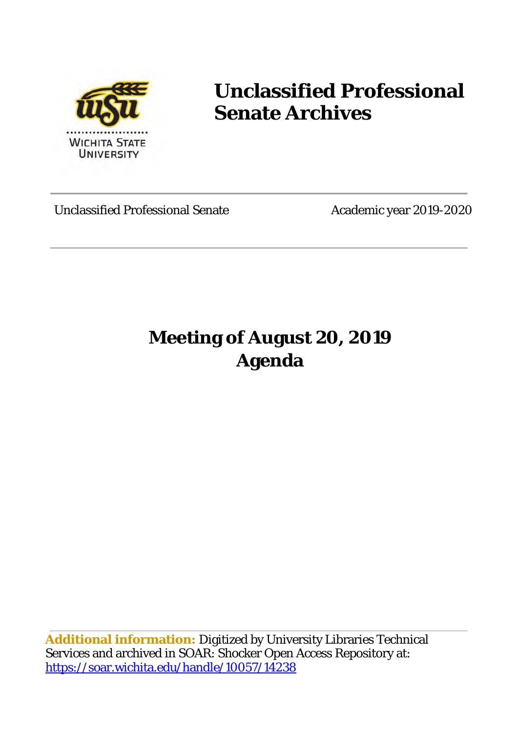

## **Unclassified Professional Senate Archives**

Unclassified Professional Senate Academic year 2019-2020

### **Meeting of August 20, 2019 Agenda**

**Additional information:** Digitized by University Libraries Technical Services and archived in SOAR: Shocker Open Access Repository at: <https://soar.wichita.edu/handle/10057/14238>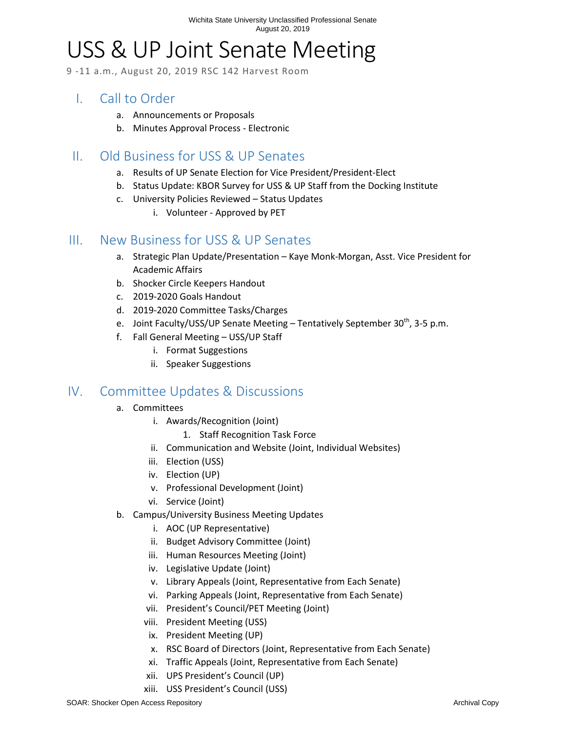# USS & UP Joint Senate Meeting

9 -11 a.m., August 20, 2019 RSC 142 Harvest Room

#### I. Call to Order

- a. Announcements or Proposals
- b. Minutes Approval Process Electronic

#### II. Old Business for USS & UP Senates

- a. Results of UP Senate Election for Vice President/President-Elect
- b. Status Update: KBOR Survey for USS & UP Staff from the Docking Institute
- c. University Policies Reviewed Status Updates
	- i. Volunteer Approved by PET

#### III. New Business for USS & UP Senates

- a. Strategic Plan Update/Presentation Kaye Monk-Morgan, Asst. Vice President for Academic Affairs
- b. Shocker Circle Keepers Handout
- c. 2019-2020 Goals Handout
- d. 2019-2020 Committee Tasks/Charges
- e. Joint Faculty/USS/UP Senate Meeting Tentatively September  $30^{th}$ , 3-5 p.m.
- f. Fall General Meeting USS/UP Staff
	- i. Format Suggestions
	- ii. Speaker Suggestions

#### IV. Committee Updates & Discussions

- a. Committees
	- i. Awards/Recognition (Joint)
		- 1. Staff Recognition Task Force
	- ii. Communication and Website (Joint, Individual Websites)
	- iii. Election (USS)
	- iv. Election (UP)
	- v. Professional Development (Joint)
	- vi. Service (Joint)
- b. Campus/University Business Meeting Updates
	- i. AOC (UP Representative)
	- ii. Budget Advisory Committee (Joint)
	- iii. Human Resources Meeting (Joint)
	- iv. Legislative Update (Joint)
	- v. Library Appeals (Joint, Representative from Each Senate)
	- vi. Parking Appeals (Joint, Representative from Each Senate)
	- vii. President's Council/PET Meeting (Joint)
	- viii. President Meeting (USS)
	- ix. President Meeting (UP)
	- x. RSC Board of Directors (Joint, Representative from Each Senate)
	- xi. Traffic Appeals (Joint, Representative from Each Senate)
	- xii. UPS President's Council (UP)
	- xiii. USS President's Council (USS)